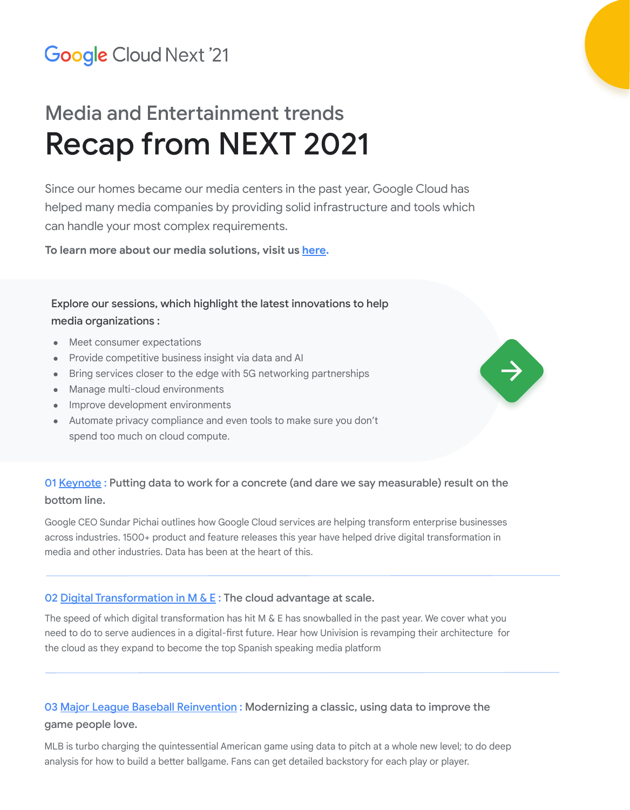## **Google Cloud Next '21**

# Media and Entertainment trends Recap from NEXT 2021

Since our homes became our media centers in the past year, Google Cloud has helped many media companies by providing solid infrastructure and tools which can handle your most complex requirements.

**To learn more about our media solutions, visit us [here.](https://cloud.google.com/solutions/media-entertainment)**

## Explore our sessions, which highlight the latest innovations to help media organizations :

- **Meet consumer expectations**
- Provide competitive business insight via data and AI
- Bring services closer to the edge with 5G networking partnerships
- Manage multi-cloud environments
- Improve development environments
- Automate privacy compliance and even tools to make sure you don't spend too much on cloud compute.

## 01 [Keynote](https://youtu.be/6QbKkDibKXg): Putting data to work for a concrete (and dare we say measurable) result on the bottom line.

J

Google CEO Sundar Pichai outlines how Google Cloud services are helping transform enterprise businesses across industries. 1500+ product and feature releases this year have helped drive digital transformation in media and other industries. Data has been at the heart of this.

### 02 Digital Transformation in M  $\&$  E : The cloud advantage at scale.

The speed of which digital transformation has hit M & E has snowballed in the past year. We cover what you need to do to serve audiences in a digital-first future. Hear how Univision is revamping their architecture for the cloud as they expand to become the top Spanish speaking media platform

## 03 [Major League Baseball Reinvention](https://youtu.be/WC9DIgnMXr4): Modernizing a classic, using data to improve the game people love.

MLB is turbo charging the quintessential American game using data to pitch at a whole new level; to do deep analysis for how to build a better ballgame. Fans can get detailed backstory for each play or player.